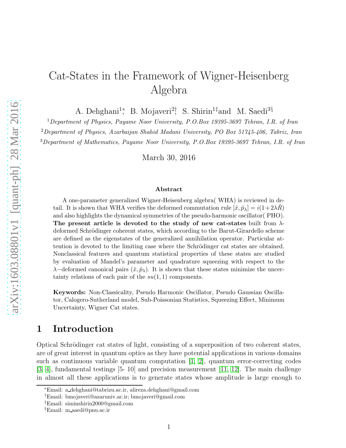# Cat-States in the Framework of Wigner-Heisenberg Algebra

A. Dehghani<sup>1</sup><sup>\*</sup>, B. Mojaveri<sup>2†</sup>, S. Shirin<sup>1‡</sup>and M. Saedi<sup>3§</sup>

<sup>1</sup>Department of Physics, Payame Noor University, P.O.Box 19395-3697 Tehran, I.R. of Iran

<sup>2</sup>Department of Physics, Azarbaijan Shahid Madani University, PO Box 51745-406, Tabriz, Iran

<sup>3</sup>Department of Mathematics, Payame Noor University, P.O.Box 19395-3697 Tehran, I.R. of Iran

March 30, 2016

#### Abstract

A one-parameter generalized Wigner-Heisenberg algebra( WHA) is reviewed in detail. It is shown that WHA verifies the deformed commutation rule  $[\hat{x}, \hat{p}_{\lambda}] = i(1+2\lambda R)$ and also highlights the dynamical symmetries of the pseudo-harmonic oscillator( PHO). The present article is devoted to the study of new cat-states built from  $\lambda$ deformed Schrödinger coherent states, which according to the Barut-Girardello scheme are defined as the eigenstates of the generalized annihilation operator. Particular attention is devoted to the limiting case where the Schrödinger cat states are obtained. Nonclassical features and quantum statistical properties of these states are studied by evaluation of Mandel's parameter and quadrature squeezing with respect to the  $\lambda$ −deformed canonical pairs  $(\hat{x}, \hat{p}_{\lambda})$ . It is shown that these states minimize the uncertainty relations of each pair of the  $su(1,1)$  components.

Keywords: Non-Classicality, Pseudo Harmonic Oscillator, Pseudo Gaussian Oscillator, Calogero-Sutherland model, Sub-Poissonian Statistics, Squeezing Effect, Minimum Uncertainty, Wigner Cat states.

# 1 Introduction

Optical Schrödinger cat states of light, consisting of a superposition of two coherent states, are of great interest in quantum optics as they have potential applications in various domains such as continuous variable quantum computation [\[1,](#page-12-0) [2\]](#page-12-1), quantum error-correcting codes [\[3,](#page-12-2) [4\]](#page-12-3), fundamental testings [5- 10] and precision measurement [\[11,](#page-12-4) [12\]](#page-13-0). The main challenge in almost all these applications is to generate states whose amplitude is large enough to

<sup>∗</sup>Email: a dehghani@tabrizu.ac.ir, alireza.dehghani@gmail.com

<sup>†</sup>Email: bmojaveri@azaruniv.ac.ir; bmojaveri@gmail.com

<sup>‡</sup>Email: siminshirin2000@gmail.com

<sup>§</sup>Email: m saedi@pnu.ac.ir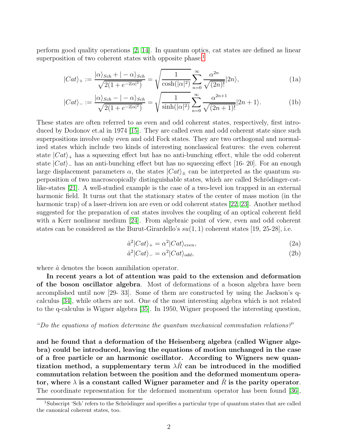perform good quality operations [\[2,](#page-12-1) [14\]](#page-13-1). In quantum optics, cat states are defined as linear superposition of two coherent states with opposite phase:<sup>[1](#page-1-0)</sup>

$$
|Cat\rangle_{+} := \frac{|\alpha\rangle_{Sch} + |-\alpha\rangle_{Sch}}{\sqrt{2(1 + e^{-2|\alpha|^{2}})}} = \sqrt{\frac{1}{\cosh(|\alpha|^{2})}} \sum_{n=0}^{\infty} \frac{\alpha^{2n}}{\sqrt{(2n)!}} |2n\rangle,
$$
\n(1a)

$$
|Cat\rangle_{-} := \frac{|\alpha\rangle_{Sch} - |-\alpha\rangle_{Sch}}{\sqrt{2(1 + e^{-2|\alpha|^2})}} = \sqrt{\frac{1}{\sinh(|\alpha|^2)}} \sum_{n=0}^{\infty} \frac{\alpha^{2n+1}}{\sqrt{(2n+1)!}} |2n+1\rangle.
$$
 (1b)

These states are often referred to as even and odd coherent states, respectively, first introduced by Dodonov et.al in 1974 [\[15\]](#page-13-2). They are called even and odd coherent state since such superpositions involve only even and odd Fock states. They are two orthogonal and normalized states which include two kinds of interesting nonclassical features: the even coherent state  $|Cat\rangle_+$  has a squeezing effect but has no anti-bunching effect, while the odd coherent state  $|Cat\rangle$  has an anti-bunching effect but has no squeezing effect [16- 20]. For an enough large displacement parameters  $\alpha$ , the states  $\left| Cat \right>_{\pm}$  can be interpreted as the quantum superposition of two macroscopically distinguishable states, which are called Schrödinger-catlike-states [\[21\]](#page-13-3). A well-studied example is the case of a two-level ion trapped in an external harmonic field. It turns out that the stationary states of the center of mass motion (in the harmonic trap) of a laser-driven ion are even or odd coherent states [\[22,](#page-13-4) [23\]](#page-13-5). Another method suggested for the preparation of cat states involves the coupling of an optical coherent field with a Kerr nonlinear medium [\[24\]](#page-13-6). From algebraic point of view, even and odd coherent states can be considered as the Burut-Girardello's  $su(1,1)$  coherent states [19, 25-28], i.e.

$$
\hat{a}^2|Cat\rangle_+ = \alpha^2|Cat\rangle_{even},\tag{2a}
$$

$$
\hat{a}^2|Cat\rangle_- = \alpha^2|Cat\rangle_{odd},\tag{2b}
$$

where  $\hat{a}$  denotes the boson annihilation operator.

In recent years a lot of attention was paid to the extension and deformation of the boson oscillator algebra. Most of deformations of a boson algebra have been accomplished until now [29- 33]. Some of them are constructed by using the Jackson's qcalculus [\[34\]](#page-13-7), while others are not. One of the most interesting algebra which is not related to the q-calculus is Wigner algebra [\[35\]](#page-13-8). In 1950, Wigner proposed the interesting question,

#### "Do the equations of motion determine the quantum mechanical commutation relations?"

and he found that a deformation of the Heisenberg algebra (called Wigner algebra) could be introduced, leaving the equations of motion unchanged in the case of a free particle or an harmonic oscillator. According to Wigners new quantization method, a supplementary term  $\lambda R$  can be introduced in the modified commutation relation between the position and the deformed momentum operator, where  $\lambda$  is a constant called Wigner parameter and R is the parity operator. The coordinate representation for the deformed momentum operator has been found [\[36\]](#page-14-0),

<span id="page-1-0"></span> $1$ Subscript 'Sch' refers to the Schrödinger and specifies a particular type of quantum states that are called the canonical coherent states, too.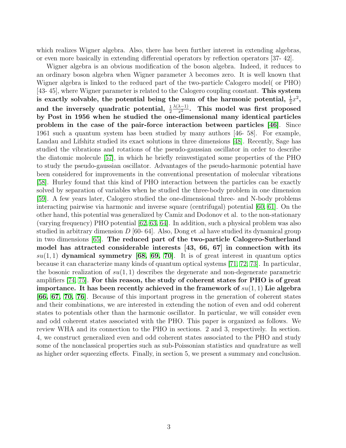which realizes Wigner algebra. Also, there has been further interest in extending algebras, or even more basically in extending differential operators by reflection operators [37- 42].

Wigner algebra is an obvious modification of the boson algebra. Indeed, it reduces to an ordinary boson algebra when Wigner parameter  $\lambda$  becomes zero. It is well known that Wigner algebra is linked to the reduced part of the two-particle Calogero model( or PHO) [43- 45], where Wigner parameter is related to the Calogero coupling constant. This system is exactly solvable, the potential being the sum of the harmonic potential,  $\frac{1}{2}x^2$ , and the inversely quadratic potential,  $\frac{1}{2} \frac{\lambda(\lambda-1)}{x^2}$ . This model was first proposed by Post in 1956 when he studied the one-dimensional many identical particles problem in the case of the pair-force interaction between particles [\[46\]](#page-14-1). Since 1961 such a quantum system has been studied by many authors [46- 58]. For example, Landau and Lifshitz studied its exact solutions in three dimensions [\[48\]](#page-14-2). Recently, Sage has studied the vibrations and rotations of the pseudo-gaussian oscillator in order to describe the diatomic molecule [\[57\]](#page-14-3), in which he briefly reinvestigated some properties of the PHO to study the pseudo-gaussian oscillator. Advantages of the pseudo-harmonic potential have been considered for improvements in the conventional presentation of molecular vibrations [\[58\]](#page-14-4). Hurley found that this kind of PHO interaction between the particles can be exactly solved by separation of variables when he studied the three-body problem in one dimension [\[59\]](#page-14-5). A few years later, Calogero studied the one-dimensional three- and N-body problems interacting pairwise via harmonic and inverse square (centrifugal) potential [\[60,](#page-14-6) [61\]](#page-14-7). On the other hand, this potential was generalized by Camiz and Dodonov et al. to the non-stationary (varying frequency) PHO potential [\[62,](#page-15-0) [63,](#page-15-1) [64\]](#page-15-2). In addition, such a physical problem was also studied in arbitrary dimension  $D$  [60-64]. Also, Dong et .al have studied its dynamical group in two dimensions [\[65\]](#page-15-3). The reduced part of the two-particle Calogero-Sutherland model has attracted considerable interests [43, 66, 67] in connection with its  $su(1,1)$  dynamical symmetry [\[68,](#page-15-4) [69,](#page-15-5) [70\]](#page-15-6). It is of great interest in quantum optics because it can characterize many kinds of quantum optical systems [\[71,](#page-15-7) [72,](#page-15-8) [73\]](#page-15-9). In particular, the bosonic realization of  $su(1, 1)$  describes the degenerate and non-degenerate parametric amplifiers [\[74,](#page-15-10) [75\]](#page-15-11). For this reason, the study of coherent states for PHO is of great importance. It has been recently achieved in the framework of  $su(1,1)$  Lie algebra [\[66,](#page-15-12) [67,](#page-15-13) [70,](#page-15-6) [76\]](#page-15-14). Because of this important progress in the generation of coherent states and their combinations, we are interested in extending the notion of even and odd coherent states to potentials other than the harmonic oscillator. In particular, we will consider even and odd coherent states associated with the PHO. This paper is organized as follows. We review WHA and its connection to the PHO in sections. 2 and 3, respectively. In section. 4, we construct generalized even and odd coherent states associated to the PHO and study some of the nonclassical properties such as sub-Poissonian statistics and quadrature as well as higher order squeezing effects. Finally, in section 5, we present a summary and conclusion.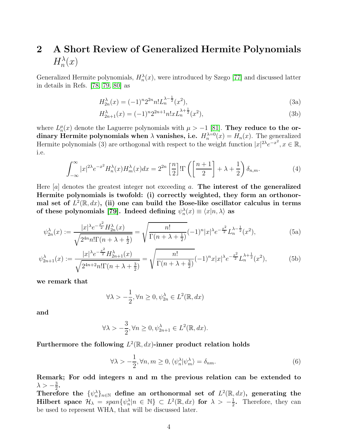# 2 A Short Review of Generalized Hermite Polynomials  $H_n^{\lambda}(x)$

Generalized Hermite polynomials,  $H_n^{\lambda}(x)$ , were introduced by Szego [\[77\]](#page-15-15) and discussed latter in details in Refs. [\[78,](#page-15-16) [79,](#page-15-17) [80\]](#page-15-18) as

$$
H_{2n}^{\lambda}(x) = (-1)^n 2^{2n} n! L_n^{\lambda - \frac{1}{2}}(x^2), \tag{3a}
$$

$$
H_{2n+1}^{\lambda}(x) = (-1)^n 2^{2n+1} n! x L_n^{\lambda + \frac{1}{2}}(x^2), \tag{3b}
$$

where  $L_n^{\mu}(x)$  denote the Laguerre polynomials with  $\mu > -1$  [\[81\]](#page-15-19). They reduce to the ordinary Hermite polynomials when  $\lambda$  vanishes, i.e.  $H_n^{\lambda=0}(x) = H_n(x)$ . The generalized Hermite polynomials (3) are orthogonal with respect to the weight function  $|x|^{2\lambda}e^{-x^2}$ ,  $x \in \mathbb{R}$ , i.e.

$$
\int_{-\infty}^{\infty} |x|^{2\lambda} e^{-x^2} H_n^{\lambda}(x) H_m^{\lambda}(x) dx = 2^{2n} \left[ \frac{n}{2} \right] \text{IT} \left( \left[ \frac{n+1}{2} \right] + \lambda + \frac{1}{2} \right) \delta_{n,m}.
$$
 (4)

Here  $[a]$  denotes the greatest integer not exceeding a. The interest of the generalized Hermite polynomials is twofold: (i) correctly weighted, they form an orthonormal set of  $L^2(\mathbb{R}, dx)$ , (ii) one can build the Bose-like oscillator calculus in terms of these polynomials [\[79\]](#page-15-17). Indeed defining  $\psi_n^{\lambda}(x) \equiv \langle x | n, \lambda \rangle$  as

$$
\psi_{2n}^{\lambda}(x) := \frac{|x|^{\lambda}e^{-\frac{x^2}{2}}H_{2n}^{\lambda}(x)}{\sqrt{2^{4n}n!\Gamma(n+\lambda+\frac{1}{2})}} = \sqrt{\frac{n!}{\Gamma(n+\lambda+\frac{1}{2})}}(-1)^n|x|^{\lambda}e^{-\frac{x^2}{2}}L_n^{\lambda-\frac{1}{2}}(x^2),\tag{5a}
$$

$$
\psi_{2n+1}^{\lambda}(x) := \frac{|x|^{\lambda}e^{-\frac{x^2}{2}}H_{2n+1}^{\lambda}(x)}{\sqrt{2^{4n+2}n!\Gamma(n+\lambda+\frac{3}{2})}} = \sqrt{\frac{n!}{\Gamma(n+\lambda+\frac{3}{2})}}(-1)^{n}x|x|^{\lambda}e^{-\frac{x^2}{2}}L_n^{\lambda+\frac{1}{2}}(x^2),
$$
(5b)

we remark that

$$
\forall \lambda > -\frac{1}{2}, \forall n \ge 0, \psi_{2n}^{\lambda} \in L^{2}(\mathbb{R}, dx)
$$

and

$$
\forall \lambda > -\frac{3}{2}, \forall n \ge 0, \psi_{2n+1}^{\lambda} \in L^{2}(\mathbb{R}, dx).
$$

Furthermore the following  $L^2(\mathbb{R},dx)$ -inner product relation holds

$$
\forall \lambda > -\frac{1}{2}, \forall n, m \ge 0, \langle \psi_n^{\lambda} | \psi_m^{\lambda} \rangle = \delta_{nm}.
$$
\n
$$
(6)
$$

Remark; For odd integers n and m the previous relation can be extended to  $\lambda > -\frac{3}{2}$  $\frac{3}{2}$ .

Therefore the  $\{\psi_n^{\lambda}\}_n \in \mathbb{N}$  define an orthonormal set of  $L^2(\mathbb{R},dx)$ , generating the Hilbert space  $\mathcal{H}_{\lambda} = span\{\psi_n^{\lambda}|n \in \mathbb{N}\}\subset L^2(\mathbb{R},dx)$  for  $\lambda > -\frac{1}{2}$  $\frac{1}{2}$ . Therefore, they can be used to represent WHA, that will be discussed later.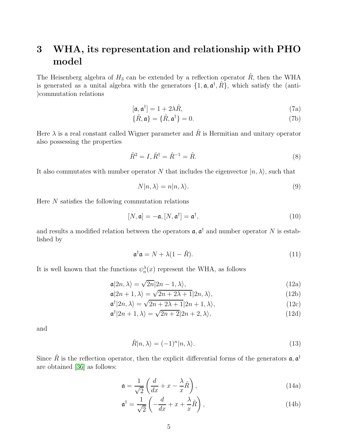# 3 WHA, its representation and relationship with PHO model

The Heisenberg algebra of  $H_3$  can be extended by a reflection operator  $\hat{R}$ , then the WHA is generated as a unital algebra with the generators  $\{1, \mathfrak{a}, \mathfrak{a}^{\dagger}, \hat{R}\}$ , which satisfy the (anti-)commutation relations

$$
[\mathfrak{a}, \mathfrak{a}^\dagger] = 1 + 2\lambda \hat{R},\tag{7a}
$$

$$
\{\hat{R}, \mathfrak{a}\} = \{\hat{R}, \mathfrak{a}^\dagger\} = 0. \tag{7b}
$$

Here  $\lambda$  is a real constant called Wigner parameter and  $\hat{R}$  is Hermitian and unitary operator also possessing the properties

$$
\hat{R}^2 = I, \hat{R}^\dagger = \hat{R}^{-1} = \hat{R}.\tag{8}
$$

It also commutates with number operator N that includes the eigenvector  $|n, \lambda\rangle$ , such that

$$
N|n,\lambda\rangle = n|n,\lambda\rangle. \tag{9}
$$

Here N satisfies the following commutation relations

$$
[N, \mathfrak{a}] = -\mathfrak{a}, [N, \mathfrak{a}^\dagger] = \mathfrak{a}^\dagger,\tag{10}
$$

and results a modified relation between the operators  $\mathfrak{a}, \mathfrak{a}^{\dagger}$  and number operator N is established by

$$
\mathfrak{a}^\dagger \mathfrak{a} = N + \lambda (1 - \hat{R}). \tag{11}
$$

It is well known that the functions  $\psi_n^{\lambda}(x)$  represent the WHA, as follows

$$
\mathfrak{a}|2n,\lambda\rangle = \sqrt{2n}|2n-1,\lambda\rangle,\tag{12a}
$$

$$
\mathfrak{a}|2n+1,\lambda\rangle = \sqrt{2n+2\lambda+1}|2n,\lambda\rangle,\tag{12b}
$$

$$
\mathfrak{a}^{\dagger}|2n,\lambda\rangle = \sqrt{2n+2\lambda+1}|2n+1,\lambda\rangle,\tag{12c}
$$

$$
\mathfrak{a}^{\dagger}|2n+1,\lambda\rangle = \sqrt{2n+2}|2n+2,\lambda\rangle,\tag{12d}
$$

and

$$
\hat{R}|n,\lambda\rangle = (-1)^n |n,\lambda\rangle.
$$
\n(13)

Since  $\hat{R}$  is the reflection operator, then the explicit differential forms of the generators  $\mathfrak{a}, \mathfrak{a}^{\dagger}$ are obtained [\[36\]](#page-14-0) as follows:

$$
\mathfrak{a} = \frac{1}{\sqrt{2}} \left( \frac{d}{dx} + x - \frac{\lambda}{x} \hat{R} \right),\tag{14a}
$$

$$
\mathfrak{a}^{\dagger} = \frac{1}{\sqrt{2}} \left( -\frac{d}{dx} + x + \frac{\lambda}{x} \hat{R} \right),\tag{14b}
$$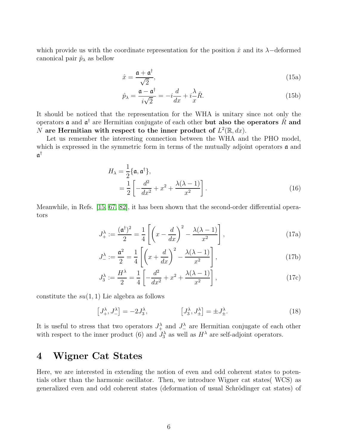which provide us with the coordinate representation for the position  $\hat{x}$  and its  $\lambda$ -deformed canonical pair  $\hat{p}_{\lambda}$  as bellow

$$
\hat{x} = \frac{\mathfrak{a} + \mathfrak{a}^\dagger}{\sqrt{2}},\tag{15a}
$$

$$
\hat{p}_{\lambda} = \frac{\mathfrak{a} - \mathfrak{a}^{\dagger}}{i\sqrt{2}} = -i\frac{d}{dx} + i\frac{\lambda}{x}\hat{R}.
$$
\n(15b)

It should be noticed that the representation for the WHA is unitary since not only the operators **a** and  $\mathfrak{a}^{\dagger}$  are Hermitian conjugate of each other **but also the operators**  $\hat{R}$  and N are Hermitian with respect to the inner product of  $L^2(\mathbb{R}, dx)$ .

Let us remember the interesting connection between the WHA and the PHO model, which is expressed in the symmetric form in terms of the mutually adjoint operators  $\alpha$  and  $\mathfrak{a}^\dagger$ 

$$
H_{\lambda} = \frac{1}{2} \{ \mathfrak{a}, \mathfrak{a}^{\dagger} \},
$$
  
= 
$$
\frac{1}{2} \left[ -\frac{d^2}{dx^2} + x^2 + \frac{\lambda(\lambda - 1)}{x^2} \right].
$$
 (16)

Meanwhile, in Refs. [\[15,](#page-13-2) [67,](#page-15-13) [82\]](#page-15-20), it has been shown that the second-order differential operators

$$
J_{+}^{\lambda} := \frac{(\mathfrak{a}^{\dagger})^2}{2} = \frac{1}{4} \left[ \left( x - \frac{d}{dx} \right)^2 - \frac{\lambda(\lambda - 1)}{x^2} \right],\tag{17a}
$$

$$
J_{-}^{\lambda} := \frac{\mathfrak{a}^2}{2} = \frac{1}{4} \left[ \left( x + \frac{d}{dx} \right)^2 - \frac{\lambda(\lambda - 1)}{x^2} \right],\tag{17b}
$$

$$
J_3^{\lambda} := \frac{H^{\lambda}}{2} = \frac{1}{4} \left[ -\frac{d^2}{dx^2} + x^2 + \frac{\lambda(\lambda - 1)}{x^2} \right],
$$
 (17c)

constitute the  $su(1,1)$  Lie algebra as follows

$$
\left[J_+^{\lambda}, J_-^{\lambda}\right] = -2J_3^{\lambda}, \qquad \qquad \left[J_3^{\lambda}, J_{\pm}^{\lambda}\right] = \pm J_{\pm}^{\lambda}.
$$
 (18)

It is useful to stress that two operators  $J^{\lambda}_{+}$  and  $J^{\lambda}_{-}$  are Hermitian conjugate of each other with respect to the inner product (6) and  $J_3^{\lambda}$  as well as  $H^{\lambda}$  are self-adjoint operators.

# 4 Wigner Cat States

Here, we are interested in extending the notion of even and odd coherent states to potentials other than the harmonic oscillator. Then, we introduce Wigner cat states( WCS) as generalized even and odd coherent states (deformation of usual Schrödinger cat states) of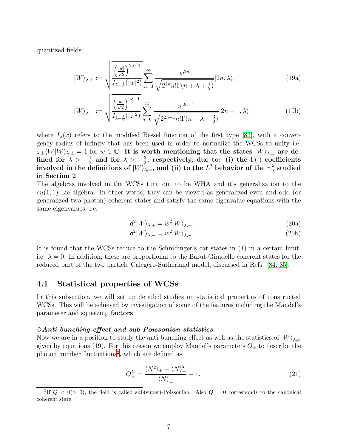quantized fields:

$$
|W\rangle_{\lambda,+} := \sqrt{\frac{\left(\frac{|w|}{\sqrt{2}}\right)^{2\lambda-1}}{I_{\lambda-\frac{1}{2}}(|w|^2)}} \sum_{n=0}^{\infty} \frac{w^{2n}}{\sqrt{2^{2n}n!\Gamma(n+\lambda+\frac{1}{2})}} |2n,\lambda\rangle, \tag{19a}
$$

$$
|W\rangle_{\lambda,-} := \sqrt{\frac{\left(\frac{|w|}{\sqrt{2}}\right)^{2\lambda-1}}{I_{\lambda+\frac{1}{2}}(|z|^2)} \sum_{n=0}^{\infty} \frac{w^{2n+1}}{\sqrt{2^{2n+1}n!\Gamma(n+\lambda+\frac{3}{2})}}}|2n+1,\lambda\rangle,
$$
\n(19b)

where  $I_{\lambda}(x)$  refers to the modified Bessel function of the first type [\[83\]](#page-15-21), with a convergency radius of infinity that has been used in order to normalize the WCSs to unity i.e.  $\lambda_{\lambda,\pm} \langle W|W\rangle_{\lambda,\pm} = 1$  for  $w \in \mathbb{C}$ . It is worth mentioning that the states  $|W\rangle_{\lambda,\pm}$  are defined for  $\lambda > -\frac{1}{2}$  $\frac{1}{2}$  and for  $\lambda > -\frac{3}{2}$  $\frac{3}{2}$ , respectively, due to: (i) the  $\Gamma(.)$  coefficients involved in the definitions of  $|W\rangle_{\lambda,\pm}$ , and (ii) to the  $L^2$  behavior of the  $\psi_n^{\lambda}$  studied in Section 2

The algebras involved in the WCSs turn out to be WHA and it's generalization to the  $su(1, 1)$  Lie algebra. In other words, they can be viewed as generalized even and odd (or generalized two-photon) coherent states and satisfy the same eigenvalue equations with the same eigenvalues, i.e.

$$
\mathfrak{a}^2|W\rangle_{\lambda,+} = w^2|W\rangle_{\lambda,+},\tag{20a}
$$

$$
\mathfrak{a}^2|W\rangle_{\lambda,-} = w^2|W\rangle_{\lambda,-}.\tag{20b}
$$

It is found that the WCSs reduce to the Schrödinger's cat states in  $(1)$  in a certain limit, i.e.  $\lambda = 0$ . In addition, these are proportional to the Barut-Giradello coherent states for the reduced part of the two particle Calegero-Sutherland model, discussed in Refs. [\[84,](#page-15-22) [85\]](#page-15-23).

#### 4.1 Statistical properties of WCSs

In this subsection, we will set up detailed studies on statistical properties of constructed WCSs. This will be achieved by investigation of some of the features including the Mandel's parameter and squeezing factors.

#### $\Diamond Anti\text{-}bunching\,\,effect\,\,and\,\,sub\text{-}Poissonian\,\,statistics$

Now we are in a position to study the anti-bunching effect as well as the statistics of  $|W\rangle_{\lambda,\pm}$ given by equations (19). For this reason we employ Mandel's parameters  $Q_{\pm}$  to describe the photon number fluctuations<sup>[2](#page-6-0)</sup>, which are defined as

$$
Q_{\pm}^{\lambda} = \frac{\langle N^2 \rangle_{\pm} - \langle N \rangle_{\pm}^2}{\langle N \rangle_{\pm}} - 1.
$$
\n(21)

<span id="page-6-0"></span><sup>&</sup>lt;sup>2</sup>If  $Q < 0$  (> 0), the field is called sub(super)-Poissonian. Also  $Q = 0$  corresponds to the canonical coherent state.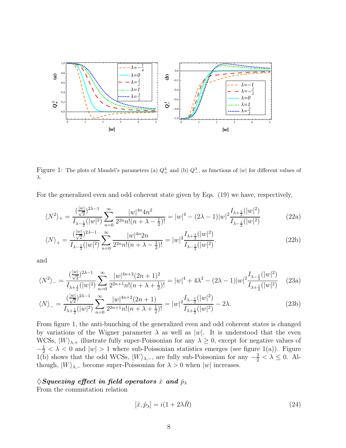

Figure 1: The plots of Mandel's parameters (a)  $Q^{\lambda}_{+}$  and (b)  $Q^{\lambda}_{-}$ , as functions of |w| for different values of λ.

For the generalized even and odd coherent state given by Eqs. (19) we have, respectively,

$$
\langle N^2 \rangle_+ = \frac{\left(\frac{|w|}{\sqrt{2}}\right)^{2\lambda - 1}}{I_{\lambda - \frac{1}{2}}(|w|^2)} \sum_{n=0}^{\infty} \frac{|w|^{4n} 4n^2}{2^{2n} n! (n + \lambda - \frac{1}{2})!} = |w|^4 - (2\lambda - 1)|w|^2 \frac{I_{\lambda + \frac{1}{2}}(|w|^2)}{I_{\lambda - \frac{1}{2}}(|w|^2)}
$$
(22a)

$$
\langle N \rangle_{+} = \frac{(\frac{|w|}{\sqrt{2}})^{2\lambda - 1}}{I_{\lambda - \frac{1}{2}}(|w|^2)} \sum_{n=0}^{\infty} \frac{|w|^{4n} 2n}{2^{2n} n! (n + \lambda - \frac{1}{2})!} = |w|^2 \frac{I_{\lambda + \frac{1}{2}}(|w|^2)}{I_{\lambda - \frac{1}{2}}(|w|^2)}.
$$
\n(22b)

and

$$
\langle N^2 \rangle_{-} = \frac{\left(\frac{|w|}{\sqrt{2}}\right)^{2\lambda - 1}}{I_{\lambda + \frac{1}{2}}(|w|^2)} \sum_{n=0}^{\infty} \frac{|w|^{4n + 2} (2n + 1)^2}{2^{2n + 1} n! (n + \lambda + \frac{1}{2})!} = |w|^4 + 4\lambda^2 - (2\lambda - 1)|w|^2 \frac{I_{\lambda - \frac{1}{2}}(|w|^2)}{I_{\lambda + \frac{1}{2}}(|w|^2)} \tag{23a}
$$

$$
\langle N \rangle_{-} = \frac{(\frac{|w|}{\sqrt{2}})^{2\lambda - 1}}{I_{\lambda + \frac{1}{2}}(|w|^2)} \sum_{n=0}^{\infty} \frac{|w|^{4n+2}(2n+1)}{2^{2n+1}n!(n+\lambda+\frac{1}{2})!} = |w|^2 \frac{I_{\lambda - \frac{1}{2}}(|w|^2)}{I_{\lambda + \frac{1}{2}}(|w|^2)} - 2\lambda. \tag{23b}
$$

From figure 1, the anti-bunching of the generalized even and odd coherent states is changed by variations of the Wigner parameter  $\lambda$  as well as  $|w|$ . It is understood that the even WCSs,  $|W\rangle_{\lambda,+}$  illustrate fully super-Poissonian for any  $\lambda \geq 0$ , except for negative values of  $-\frac{1}{2} < \lambda < 0$  and  $|w| > 1$  where sub-Poissonian statistics emerges (see figure 1(a)). Figure 1(b) shows that the odd WCSs,  $|W\rangle_{\lambda,-}$ , are fully sub-Poissonian for any  $-\frac{3}{2} < \lambda \leq 0$ . Although,  $|W\rangle_{\lambda,-}$  become super-Poissonian for  $\lambda > 0$  when  $|w|$  increases.

#### $\Diamond$ Squeezing effect in field operators  $\hat{x}$  and  $\hat{p}_{\lambda}$

From the commutation relation

$$
[\hat{x}, \hat{p}_{\lambda}] = i(1 + 2\lambda \hat{R})
$$
\n(24)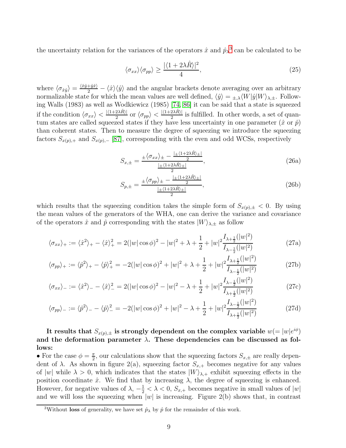the uncertainty relation for the variances of the operators  $\hat{x}$  and  $\hat{p}_{\lambda}^{3}$  $\hat{p}_{\lambda}^{3}$  $\hat{p}_{\lambda}^{3}$  can be calculated to be

$$
\langle \sigma_{xx} \rangle \langle \sigma_{pp} \rangle \ge \frac{|\langle 1 + 2\lambda \hat{R} \rangle|^2}{4},\tag{25}
$$

where  $\langle \sigma_{\hat{x}\hat{y}} \rangle = \frac{\langle \hat{x}\rangle \langle \hat{y} \rangle}{2} - \langle \hat{x} \rangle \langle \hat{y} \rangle$  and the angular brackets denote averaging over an arbitrary normalizable state for which the mean values are well defined,  $\langle \hat{y} \rangle = \pm \lambda \langle W | \hat{y} | W \rangle_{\lambda,\pm}$ . Following Walls (1983) as well as Wodkiewicz (1985) [\[74,](#page-15-10) [86\]](#page-16-0) it can be said that a state is squeezed if the condition  $\langle \sigma_{xx} \rangle < \frac{|\langle 1+2\lambda \hat{R} \rangle|}{2}$  or  $\langle \sigma_{pp} \rangle < \frac{|\langle 1+2\lambda \hat{R} \rangle|}{2}$  is fulfilled. In other words, a set of quantum states are called squeezed states if they have less uncertainty in one parameter  $(\hat{x} \text{ or } \hat{p})$ than coherent states. Then to measure the degree of squeezing we introduce the squeezing factors  $S_{x(p),+}$  and  $S_{x(p),-}$  [\[87\]](#page-16-1), corresponding with the even and odd WCSs, respectively

$$
S_{x,\pm} = \frac{\pm \langle \sigma_{xx} \rangle_{\pm} - \frac{|\pm \langle 1+2\lambda \hat{R} \rangle_{\pm}|}{2}}{\frac{|\pm \langle 1+2\lambda \hat{R} \rangle_{\pm}|}{2}},\tag{26a}
$$

$$
S_{p,\pm} = \frac{\pm \langle \sigma_{pp} \rangle_{\pm} - \frac{|\pm \langle 1 + 2\lambda \hat{R} \rangle_{\pm}|}{2}}{\frac{|\pm \langle 1 + 2\lambda \hat{R} \rangle_{\pm}|}{2}},\tag{26b}
$$

which results that the squeezing condition takes the simple form of  $S_{x(p),\pm} < 0$ . By using the mean values of the generators of the WHA, one can derive the variance and covariance of the operators  $\hat{x}$  and  $\hat{p}$  corresponding with the states  $|W\rangle_{\lambda,\pm}$  as follow

$$
\langle \sigma_{xx} \rangle_+ := \langle \hat{x}^2 \rangle_+ - \langle \hat{x} \rangle_+^2 = 2(|w|\cos\phi)^2 - |w|^2 + \lambda + \frac{1}{2} + |w|^2 \frac{I_{\lambda + \frac{1}{2}}(|w|^2)}{I_{\lambda - \frac{1}{2}}(|w|^2)}
$$
(27a)

$$
\langle \sigma_{pp} \rangle_+ := \langle \hat{p}^2 \rangle_+ - \langle \hat{p} \rangle_+^2 = -2(|w|\cos\phi)^2 + |w|^2 + \lambda + \frac{1}{2} + |w|^2 \frac{I_{\lambda + \frac{1}{2}}(|w|^2)}{I_{\lambda - \frac{1}{2}}(|w|^2)}
$$
(27b)

$$
\langle \sigma_{xx} \rangle_{-} := \langle \hat{x}^2 \rangle_{-} - \langle \hat{x} \rangle_{-}^2 = 2(|w|\cos\phi)^2 - |w|^2 - \lambda + \frac{1}{2} + |w|^2 \frac{I_{\lambda - \frac{1}{2}}(|w|^2)}{I_{\lambda + \frac{1}{2}}(|w|^2)}
$$
(27c)

$$
\langle \sigma_{pp} \rangle_{-} := \langle \hat{p}^2 \rangle_{-} - \langle \hat{p} \rangle_{-}^2 = -2(|w|\cos\phi)^2 + |w|^2 - \lambda + \frac{1}{2} + |w|^2 \frac{I_{\lambda - \frac{1}{2}}(|w|^2)}{I_{\lambda + \frac{1}{2}}(|w|^2)}
$$
(27d)

It results that  $S_{x(p),\pm}$  is strongly dependent on the complex variable  $w(=|w|e^{i\phi})$ and the deformation parameter  $\lambda$ . These dependencies can be discussed as follows:

• For the case  $\phi = \frac{\pi}{2}$  $\frac{\pi}{2}$ , our calculations show that the squeezing factors  $S_{x,\pm}$  are really dependent of  $\lambda$ . As shown in figure 2(a), squeezing factor  $S_{x,+}$  becomes negative for any values of  $|w|$  while  $\lambda > 0$ , which indicates that the states  $|W\rangle_{\lambda,+}$  exhibit squeezing effects in the position coordinate  $\hat{x}$ . We find that by increasing  $\lambda$ , the degree of squeezing is enhanced. However, for negative values of  $\lambda$ ,  $-\frac{1}{2} < \lambda < 0$ ,  $S_{x,+}$  becomes negative in small values of  $|w|$ and we will loss the squeezing when  $|w|$  is increasing. Figure 2(b) shows that, in contrast

<span id="page-8-0"></span><sup>&</sup>lt;sup>3</sup>Without **loss** of generality, we have set  $\hat{p}_{\lambda}$  by  $\hat{p}$  for the remainder of this work.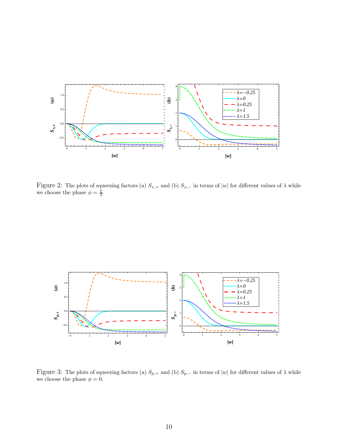

Figure 2: The plots of squeezing factors (a)  $S_{x,+}$  and (b)  $S_{x,-}$  in terms of |w| for different values of  $\lambda$  while we choose the phase  $\phi = \frac{\pi}{2}$ .



Figure 3: The plots of squeezing factors (a)  $S_{p,+}$  and (b)  $S_{p,-}$  in terms of |w| for different values of  $\lambda$  while we choose the phase  $\phi=0.$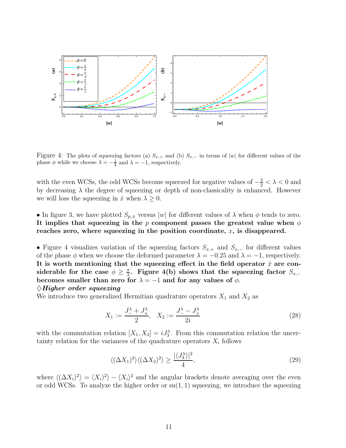

Figure 4: The plots of squeezing factors (a)  $S_{x,+}$  and (b)  $S_{x,-}$  in terms of |w| for different values of the phase  $\phi$  while we choose  $\lambda = -\frac{1}{4}$  and  $\lambda = -1$ , respectively.

with the even WCSs, the odd WCSs become squeezed for negative values of  $-\frac{3}{2} < \lambda < 0$  and by decreasing  $\lambda$  the degree of squeezing or depth of non-classicality is enhanced. However we will loss the squeezing in  $\hat{x}$  when  $\lambda \geq 0$ .

#### • In figure 3, we have plotted  $S_{p,\pm}$  versus  $|w|$  for different values of  $\lambda$  when  $\phi$  tends to zero. It implies that squeezing in the p component passes the greatest value when  $\phi$ reaches zero, where squeezing in the position coordinate,  $x$ , is disappeared.

• Figure 4 visualizes variation of the squeezing factors  $S_{x,+}$  and  $S_{x,-}$  for different values of the phase  $\phi$  when we choose the deformed parameter  $\lambda = -0.25$  and  $\lambda = -1$ , respectively. It is worth mentioning that the squeezing effect in the field operator  $\hat{x}$  are considerable for the case  $\phi \geq \frac{\pi}{3}$  $\frac{\pi}{3}$ . Figure 4(b) shows that the squeezing factor  $S_{x,-}$ becomes smaller than zero for  $\lambda = -1$  and for any values of  $\phi$ .

#### $\Diamond$ Higher order squeezing

We introduce two generalized Hermitian quadrature operators  $X_1$  and  $X_2$  as

$$
X_1 := \frac{J_1^{\lambda} + J_+^{\lambda}}{2}, \quad X_2 := \frac{J_1^{\lambda} - J_+^{\lambda}}{2i}
$$
\n(28)

with the commutation relation  $[X_1, X_2] = iJ_3^{\lambda}$ . From this commutation relation the uncertainty relation for the variances of the quadrature operators  $X_i$  follows

$$
\langle (\Delta X_1)^2 \rangle \langle (\Delta X_2)^2 \rangle \ge \frac{|\langle J_3^{\lambda} \rangle|^2}{4},\tag{29}
$$

where  $\langle (\Delta X_i)^2 \rangle = \langle X_i \rangle^2$  and the angular brackets denote averaging over the even or odd WCSs. To analyze the higher order or  $su(1, 1)$  squeezing, we introduce the squeezing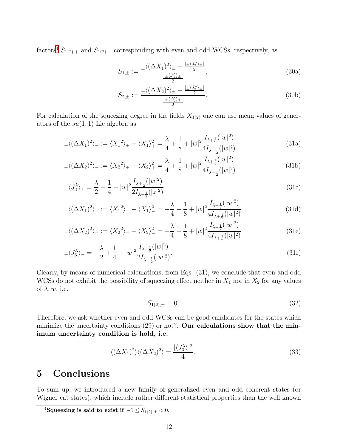factors<sup>[4](#page-11-0)</sup>  $S_{1(2),+}$  and  $S_{1(2),-}$  corresponding with even and odd WCSs, respectively, as

$$
S_{1,\pm} := \frac{\pm \langle (\Delta X_1)^2 \rangle_{\pm} - \frac{|\pm \langle J_3^{\lambda} \rangle_{\pm}|}{2}}{\frac{|\pm \langle J_3^{\lambda} \rangle_{\pm}|}{2}}, \tag{30a}
$$

$$
S_{2,\pm} := \frac{\pm \langle (\Delta X_2)^2 \rangle_{\pm} - \frac{|\pm \langle J_3^{\lambda} \rangle_{\pm}|}{2}}{\frac{|\pm \langle J_3^{\lambda} \rangle_{\pm}|}{2}}.
$$
 (30b)

For calculation of the squeezing degree in the fields  $X_{1(2)}$  one can use mean values of generators of the  $su(1,1)$  Lie algebra as

$$
_{+}\langle (\Delta X_{1})^{2}\rangle _{+}:=\langle X_{1}^{2}\rangle _{+}-\langle X_{1}\rangle _{+}^{2}=\frac{\lambda}{4}+\frac{1}{8}+|w|^{2}\frac{I_{\lambda+\frac{1}{2}}(|w|^{2})}{4I_{\lambda-\frac{1}{2}}(|w|^{2})}
$$
(31a)

$$
_{+}\langle (\Delta X_{2})^{2}\rangle _{+}:=\langle X_{2}^{2}\rangle _{+}-\langle X_{2}\rangle _{+}^{2}=\frac{\lambda}{4}+\frac{1}{8}+|w|^{2}\frac{I_{\lambda +\frac{1}{2}}(|w|^{2})}{4I_{\lambda -\frac{1}{2}}(|w|^{2})}
$$
(31b)

$$
\langle J_3^\lambda \rangle_+ = \frac{\lambda}{2} + \frac{1}{4} + |w|^2 \frac{I_{\lambda + \frac{1}{2}}(|w|^2)}{2I_{\lambda - \frac{1}{2}}(|z|^2)} \tag{31c}
$$

$$
-\langle (\Delta X_1)^2 \rangle_- := \langle X_1^2 \rangle_- - \langle X_1 \rangle_-^2 = -\frac{\lambda}{4} + \frac{1}{8} + |w|^2 \frac{I_{\lambda - \frac{1}{2}}(|w|^2)}{4I_{\lambda + \frac{1}{2}}(|w|^2)}
$$
(31d)

$$
\langle (\Delta X_2)^2 \rangle_- := \langle X_2^2 \rangle_- - \langle X_2 \rangle_-^2 = -\frac{\lambda}{4} + \frac{1}{8} + |w|^2 \frac{I_{\lambda - \frac{1}{2}}(|w|^2)}{4I_{\lambda + \frac{1}{2}}(|w|^2)}
$$
(31e)

$$
\langle J_3^\lambda \rangle_- = -\frac{\lambda}{2} + \frac{1}{4} + |w|^2 \frac{I_{\lambda - \frac{1}{2}}(|w|^2)}{2I_{\lambda + \frac{1}{2}}(|w|^2)}.
$$
\n(31f)

Clearly, by means of numerical calculations, from Eqs. (31), we conclude that even and odd WCSs do not exhibit the possibility of squeezing effect neither in  $X_1$  nor in  $X_2$  for any values of  $\lambda, w$ , i.e.

$$
S_{1(2),\pm} = 0.\t\t(32)
$$

Therefore, we ask whether even and odd WCSs can be good candidates for the states which minimize the uncertainty conditions  $(29)$  or not?. Our calculations show that the minimum uncertainty condition is hold, i.e.

$$
\langle (\Delta X_1)^2 \rangle \langle (\Delta X_2)^2 \rangle = \frac{|\langle J_3^{\lambda} \rangle|^2}{4}.
$$
\n(33)

## 5 Conclusions

To sum up, we introduced a new family of generalized even and odd coherent states (or Wigner cat states), which include rather different statistical properties than the well known

<span id="page-11-0"></span><sup>&</sup>lt;sup>4</sup>Squeezing is said to exist if  $-1 \leq S_{1(2),\pm} < 0$ .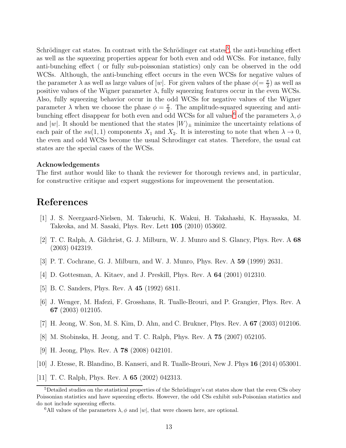Schrödinger cat states. In contrast with the Schrödinger cat states<sup>[5](#page-12-5)</sup>, the anti-bunching effect as well as the squeezing properties appear for both even and odd WCSs. For instance, fully anti-bunching effect ( or fully sub-poissonian statistics) only can be observed in the odd WCSs. Although, the anti-bunching effect occurs in the even WCSs for negative values of the parameter  $\lambda$  as well as large values of  $|w|$ . For given values of the phase  $\phi = \frac{\pi}{2}$  as well as positive values of the Wigner parameter  $\lambda$ , fully squeezing features occur in the even WCSs. Also, fully squeezing behavior occur in the odd WCSs for negative values of the Wigner parameter  $\lambda$  when we choose the phase  $\phi = \frac{\pi}{2}$  $\frac{\pi}{2}$ . The amplitude-squared squeezing and anti-bunching effect disappear for both even and odd WCSs for all values<sup>[6](#page-12-6)</sup> of the parameters  $\lambda, \phi$ and |w|. It should be mentioned that the states  $|W\rangle_{\pm}$  minimize the uncertainty relations of each pair of the  $su(1,1)$  components  $X_1$  and  $X_2$ . It is interesting to note that when  $\lambda \to 0$ , the even and odd WCSs become the usual Schrodinger cat states. Therefore, the usual cat states are the special cases of the WCSs.

#### Acknowledgements

The first author would like to thank the reviewer for thorough reviews and, in particular, for constructive critique and expert suggestions for improvement the presentation.

### <span id="page-12-0"></span>References

- <span id="page-12-1"></span>[1] J. S. Neergaard-Nielsen, M. Takeuchi, K. Wakui, H. Takahashi, K. Hayasaka, M. Takeoka, and M. Sasaki, Phys. Rev. Lett 105 (2010) 053602.
- [2] T. C. Ralph, A. Gilchrist, G. J. Milburn, W. J. Munro and S. Glancy, Phys. Rev. A 68 (2003) 042319.
- <span id="page-12-3"></span><span id="page-12-2"></span>[3] P. T. Cochrane, G. J. Milburn, and W. J. Munro, Phys. Rev. A 59 (1999) 2631.
- [4] D. Gottesman, A. Kitaev, and J. Preskill, Phys. Rev. A 64 (2001) 012310.
- [5] B. C. Sanders, Phys. Rev. A 45 (1992) 6811.
- [6] J. Wenger, M. Hafezi, F. Grosshans, R. Tualle-Brouri, and P. Grangier, Phys. Rev. A 67 (2003) 012105.
- [7] H. Jeong, W. Son, M. S. Kim, D. Ahn, and C. Brukner, Phys. Rev. A 67 (2003) 012106.
- [8] M. Stobinska, H. Jeong, and T. C. Ralph, Phys. Rev. A 75 (2007) 052105.
- [9] H. Jeong, Phys. Rev. A 78 (2008) 042101.
- <span id="page-12-4"></span>[10] J. Etesse, R. Blandino, B. Kanseri, and R. Tualle-Brouri, New J. Phys 16 (2014) 053001.
- [11] T. C. Ralph, Phys. Rev. A 65 (2002) 042313.

<span id="page-12-5"></span><sup>&</sup>lt;sup>5</sup>Detailed studies on the statistical properties of the Schrödinger's cat states show that the even CSs obey Poissonian statistics and have squeezing effects. However, the odd CSs exhibit sub-Poisonian statistics and do not include squeezing effects.

<span id="page-12-6"></span><sup>&</sup>lt;sup>6</sup>All values of the parameters  $\lambda$ ,  $\phi$  and  $|w|$ , that were chosen here, are optional.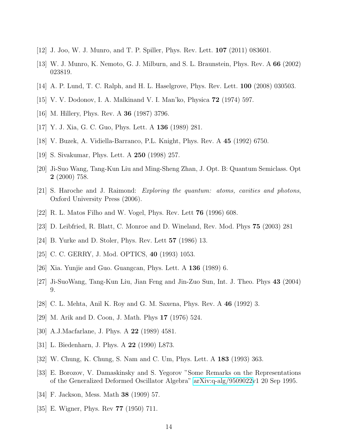- <span id="page-13-0"></span>[12] J. Joo, W. J. Munro, and T. P. Spiller, Phys. Rev. Lett. 107 (2011) 083601.
- <span id="page-13-1"></span>[13] W. J. Munro, K. Nemoto, G. J. Milburn, and S. L. Braunstein, Phys. Rev. A 66 (2002) 023819.
- <span id="page-13-2"></span>[14] A. P. Lund, T. C. Ralph, and H. L. Haselgrove, Phys. Rev. Lett. 100 (2008) 030503.
- [15] V. V. Dodonov, I. A. Malkinand V. I. Man'ko, Physica 72 (1974) 597.
- [16] M. Hillery, Phys. Rev. A 36 (1987) 3796.
- [17] Y. J. Xia, G. C. Guo, Phys. Lett. A 136 (1989) 281.
- [18] V. Buzek, A. Vidiella-Barranco, P.L. Knight, Phys. Rev. A 45 (1992) 6750.
- [19] S. Sivakumar, Phys. Lett. A 250 (1998) 257.
- <span id="page-13-3"></span>[20] Ji-Suo Wang, Tang-Kun Liu and Ming-Sheng Zhan, J. Opt. B: Quantum Semiclass. Opt 2 (2000) 758.
- <span id="page-13-4"></span>[21] S. Haroche and J. Raimond: Exploring the quantum: atoms, cavities and photons, Oxford University Press (2006).
- <span id="page-13-5"></span>[22] R. L. Matos Filho and W. Vogel, Phys. Rev. Lett 76 (1996) 608.
- <span id="page-13-6"></span>[23] D. Leibfried, R. Blatt, C. Monroe and D. Wineland, Rev. Mod. Phys 75 (2003) 281
- [24] B. Yurke and D. Stoler, Phys. Rev. Lett 57 (1986) 13.
- [25] C. C. GERRY, J. Mod. OPTICS, 40 (1993) 1053.
- [26] Xia. Yunjie and Guo. Guangcan, Phys. Lett. A  $136$  (1989) 6.
- [27] Ji-SuoWang, Tang-Kun Liu, Jian Feng and Jin-Zuo Sun, Int. J. Theo. Phys 43 (2004) 9.
- [28] C. L. Mehta, Anil K. Roy and G. M. Saxena, Phys. Rev. A 46 (1992) 3.
- [29] M. Arik and D. Coon, J. Math. Phys 17 (1976) 524.
- [30] A.J.Macfarlane, J. Phys. A 22 (1989) 4581.
- [31] L. Biedenharn, J. Phys. A 22 (1990) L873.
- [32] W. Chung, K. Chung, S. Nam and C. Um, Phys. Lett. A 183 (1993) 363.
- [33] E. Borozov, V. Damaskinsky and S. Yegorov "Some Remarks on the Representations of the Generalized Deformed Oscillator Algebra" [arXiv:q-alg/9509022v](http://arxiv.org/abs/q-alg/9509022)1 20 Sep 1995.
- <span id="page-13-8"></span><span id="page-13-7"></span>[34] F. Jackson, Mess. Math 38 (1909) 57.
- [35] E. Wigner, Phys. Rev 77 (1950) 711.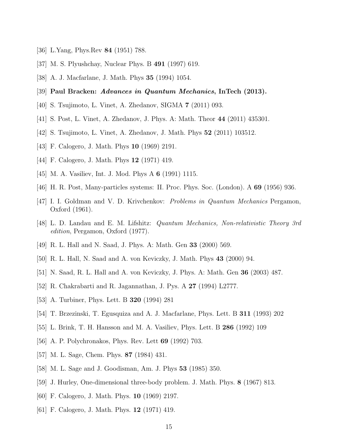- <span id="page-14-0"></span>[36] L.Yang, Phys.Rev 84 (1951) 788.
- [37] M. S. Plyushchay, Nuclear Phys. B 491 (1997) 619.
- [38] A. J. Macfarlane, J. Math. Phys 35 (1994) 1054.
- [39] Paul Bracken: Advances in Quantum Mechanics, InTech (2013).
- [40] S. Tsujimoto, L. Vinet, A. Zhedanov, SIGMA 7 (2011) 093.
- [41] S. Post, L. Vinet, A. Zhedanov, J. Phys. A: Math. Theor 44 (2011) 435301.
- [42] S. Tsujimoto, L. Vinet, A. Zhedanov, J. Math. Phys 52 (2011) 103512.
- [43] F. Calogero, J. Math. Phys 10 (1969) 2191.
- [44] F. Calogero, J. Math. Phys **12** (1971) 419.
- <span id="page-14-1"></span>[45] M. A. Vasiliev, Int. J. Mod. Phys A 6 (1991) 1115.
- [46] H. R. Post, Many-particles systems: II. Proc. Phys. Soc. (London). A 69 (1956) 936.
- [47] I. I. Goldman and V. D. Krivchenkov: *Problems in Quantum Mechanics* Pergamon, Oxford (1961).
- <span id="page-14-2"></span>[48] L. D. Landau and E. M. Lifshitz: Quantum Mechanics, Non-relativistic Theory 3rd edition, Pergamon, Oxford (1977).
- [49] R. L. Hall and N. Saad, J. Phys. A: Math. Gen 33 (2000) 569.
- [50] R. L. Hall, N. Saad and A. von Keviczky, J. Math. Phys 43 (2000) 94.
- [51] N. Saad, R. L. Hall and A. von Keviczky, J. Phys. A: Math. Gen 36 (2003) 487.
- [52] R. Chakrabarti and R. Jagannathan, J. Pys. A 27 (1994) L2777.
- [53] A. Turbiner, Phys. Lett. B 320 (1994) 281
- [54] T. Brzezinski, T. Egusquiza and A. J. Macfarlane, Phys. Lett. B 311 (1993) 202
- [55] L. Brink, T. H. Hansson and M. A. Vasiliev, Phys. Lett. B 286 (1992) 109
- <span id="page-14-3"></span>[56] A. P. Polychronakos, Phys. Rev. Lett 69 (1992) 703.
- <span id="page-14-4"></span>[57] M. L. Sage, Chem. Phys. **87** (1984) 431.
- <span id="page-14-5"></span>[58] M. L. Sage and J. Goodisman, Am. J. Phys 53 (1985) 350.
- <span id="page-14-6"></span>[59] J. Hurley, One-dimensional three-body problem. J. Math. Phys. 8 (1967) 813.
- <span id="page-14-7"></span>[60] F. Calogero, J. Math. Phys. 10 (1969) 2197.
- [61] F. Calogero, J. Math. Phys. **12** (1971) 419.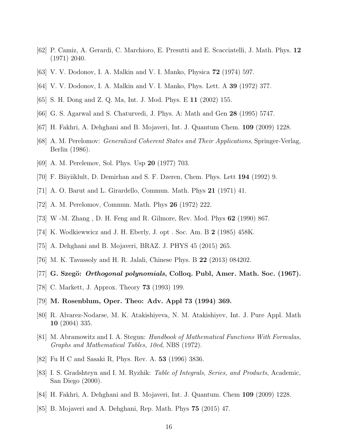- <span id="page-15-1"></span><span id="page-15-0"></span>[62] P. Camiz, A. Gerardi, C. Marchioro, E. Presutti and E. Scacciatelli, J. Math. Phys. 12 (1971) 2040.
- <span id="page-15-2"></span>[63] V. V. Dodonov, I. A. Malkin and V. I. Manko, Physica 72 (1974) 597.
- <span id="page-15-3"></span>[64] V. V. Dodonov, I. A. Malkin and V. I. Manko, Phys. Lett. A 39 (1972) 377.
- <span id="page-15-12"></span>[65] S. H. Dong and Z. Q. Ma, Int. J. Mod. Phys. E 11 (2002) 155.
- <span id="page-15-13"></span>[66] G. S. Agarwal and S. Chaturvedi, J. Phys. A: Math and Gen 28 (1995) 5747.
- <span id="page-15-4"></span>[67] H. Fakhri, A. Dehghani and B. Mojaveri, Int. J. Quantum Chem. 109 (2009) 1228.
- <span id="page-15-5"></span>[68] A. M. Perelomov: Generalized Coherent States and Their Applications, Springer-Verlag, Berlin (1986).
- <span id="page-15-6"></span>[69] A. M. Perelemov, Sol. Phys. Usp 20 (1977) 703.
- <span id="page-15-7"></span>[70] F. Biiyiiklult, D. Demirhan and S. F. Dzeren, Chem. Phys. Lett 194 (1992) 9.
- <span id="page-15-8"></span>[71] A. O. Barut and L. Girardello, Commun. Math. Phys 21 (1971) 41.
- <span id="page-15-9"></span>[72] A. M. Perelomov, Commun. Math. Phys 26 (1972) 222.
- <span id="page-15-10"></span>[73] W -M. Zhang , D. H. Feng and R. Gilmore, Rev. Mod. Phys 62 (1990) 867.
- <span id="page-15-11"></span>[74] K. Wodkiewwicz and J. H. Eberly, J. opt . Soc. Am. B 2 (1985) 458K.
- <span id="page-15-14"></span>[75] A. Dehghani and B. Mojaveri, BRAZ. J. PHYS 45 (2015) 265.
- <span id="page-15-15"></span>[76] M. K. Tavassoly and H. R. Jalali, Chinese Phys. B 22 (2013) 084202.
- <span id="page-15-16"></span>[77] G. Szegö: *Orthogonal polynomials*, Colloq. Publ, Amer. Math. Soc.  $(1967)$ .
- <span id="page-15-17"></span>[78] C. Markett, J. Approx. Theory 73 (1993) 199.
- <span id="page-15-18"></span>[79] M. Rosenblum, Oper. Theo: Adv. Appl 73 (1994) 369.
- <span id="page-15-19"></span>[80] R. Alvarez-Nodarse, M. K. Atakishiyeva, N. M. Atakishiyev, Int. J. Pure Appl. Math 10 (2004) 335.
- [81] M. Abramowitz and I. A. Stegun: *Handbook of Mathematical Functions With Formulas*, Graphs and Mathematical Tables, 10ed, NBS (1972).
- <span id="page-15-21"></span><span id="page-15-20"></span>[82] Fu H C and Sasaki R, Phys. Rev. A. 53 (1996) 3836.
- [83] I. S. Gradshteyn and I. M. Ryzhik: Table of Integrals, Series, and Products, Academic, San Diego (2000).
- <span id="page-15-23"></span><span id="page-15-22"></span>[84] H. Fakhri, A. Dehghani and B. Mojaveri, Int. J. Quantum. Chem 109 (2009) 1228.
- [85] B. Mojaveri and A. Dehghani, Rep. Math. Phys 75 (2015) 47.